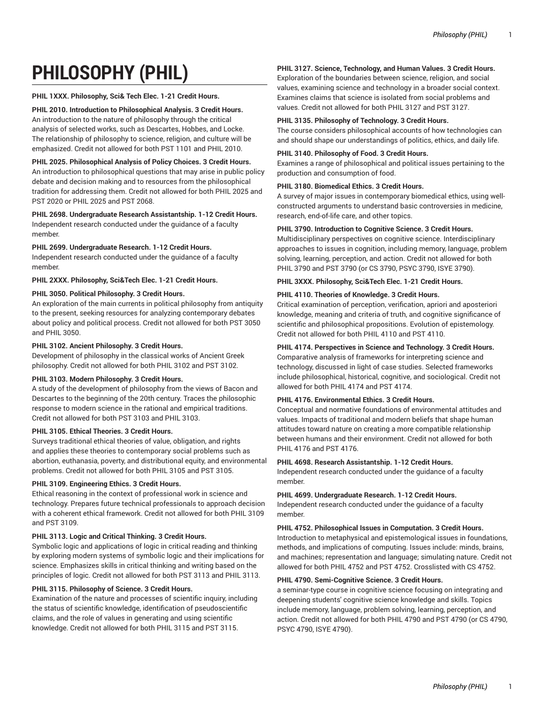# **PHILOSOPHY (PHIL)**

# **PHIL 1XXX. Philosophy, Sci& Tech Elec. 1-21 Credit Hours.**

# **PHIL 2010. Introduction to Philosophical Analysis. 3 Credit Hours.**

An introduction to the nature of philosophy through the critical analysis of selected works, such as Descartes, Hobbes, and Locke. The relationship of philosophy to science, religion, and culture will be emphasized. Credit not allowed for both PST 1101 and PHIL 2010.

# **PHIL 2025. Philosophical Analysis of Policy Choices. 3 Credit Hours.**

An introduction to philosophical questions that may arise in public policy debate and decision making and to resources from the philosophical tradition for addressing them. Credit not allowed for both PHIL 2025 and PST 2020 or PHIL 2025 and PST 2068.

#### **PHIL 2698. Undergraduate Research Assistantship. 1-12 Credit Hours.** Independent research conducted under the guidance of a faculty

member.

# **PHIL 2699. Undergraduate Research. 1-12 Credit Hours.**

Independent research conducted under the guidance of a faculty member.

**PHIL 2XXX. Philosophy, Sci&Tech Elec. 1-21 Credit Hours.**

# **PHIL 3050. Political Philosophy. 3 Credit Hours.**

An exploration of the main currents in political philosophy from antiquity to the present, seeking resources for analyzing contemporary debates about policy and political process. Credit not allowed for both PST 3050 and PHIL 3050.

# **PHIL 3102. Ancient Philosophy. 3 Credit Hours.**

Development of philosophy in the classical works of Ancient Greek philosophy. Credit not allowed for both PHIL 3102 and PST 3102.

# **PHIL 3103. Modern Philosophy. 3 Credit Hours.**

A study of the development of philosophy from the views of Bacon and Descartes to the beginning of the 20th century. Traces the philosophic response to modern science in the rational and empirical traditions. Credit not allowed for both PST 3103 and PHIL 3103.

#### **PHIL 3105. Ethical Theories. 3 Credit Hours.**

Surveys traditional ethical theories of value, obligation, and rights and applies these theories to contemporary social problems such as abortion, euthanasia, poverty, and distributional equity, and environmental problems. Credit not allowed for both PHIL 3105 and PST 3105.

# **PHIL 3109. Engineering Ethics. 3 Credit Hours.**

Ethical reasoning in the context of professional work in science and technology. Prepares future technical professionals to approach decision with a coherent ethical framework. Credit not allowed for both PHIL 3109 and PST 3109.

#### **PHIL 3113. Logic and Critical Thinking. 3 Credit Hours.**

Symbolic logic and applications of logic in critical reading and thinking by exploring modern systems of symbolic logic and their implications for science. Emphasizes skills in critical thinking and writing based on the principles of logic. Credit not allowed for both PST 3113 and PHIL 3113.

#### **PHIL 3115. Philosophy of Science. 3 Credit Hours.**

Examination of the nature and processes of scientific inquiry, including the status of scientific knowledge, identification of pseudoscientific claims, and the role of values in generating and using scientific knowledge. Credit not allowed for both PHIL 3115 and PST 3115.

# **PHIL 3127. Science, Technology, and Human Values. 3 Credit Hours.**

Exploration of the boundaries between science, religion, and social values, examining science and technology in a broader social context. Examines claims that science is isolated from social problems and values. Credit not allowed for both PHIL 3127 and PST 3127.

#### **PHIL 3135. Philosophy of Technology. 3 Credit Hours.**

The course considers philosophical accounts of how technologies can and should shape our understandings of politics, ethics, and daily life.

#### **PHIL 3140. Philosophy of Food. 3 Credit Hours.**

Examines a range of philosophical and political issues pertaining to the production and consumption of food.

#### **PHIL 3180. Biomedical Ethics. 3 Credit Hours.**

A survey of major issues in contemporary biomedical ethics, using wellconstructed arguments to understand basic controversies in medicine, research, end-of-life care, and other topics.

# **PHIL 3790. Introduction to Cognitive Science. 3 Credit Hours.**

Multidisciplinary perspectives on cognitive science. Interdisciplinary approaches to issues in cognition, including memory, language, problem solving, learning, perception, and action. Credit not allowed for both PHIL 3790 and PST 3790 (or CS 3790, PSYC 3790, ISYE 3790).

# **PHIL 3XXX. Philosophy, Sci&Tech Elec. 1-21 Credit Hours.**

# **PHIL 4110. Theories of Knowledge. 3 Credit Hours.**

Critical examination of perception, verification, apriori and aposteriori knowledge, meaning and criteria of truth, and cognitive significance of scientific and philosophical propositions. Evolution of epistemology. Credit not allowed for both PHIL 4110 and PST 4110.

# **PHIL 4174. Perspectives in Science and Technology. 3 Credit Hours.**

Comparative analysis of frameworks for interpreting science and technology, discussed in light of case studies. Selected frameworks include philosophical, historical, cognitive, and sociological. Credit not allowed for both PHIL 4174 and PST 4174.

# **PHIL 4176. Environmental Ethics. 3 Credit Hours.**

Conceptual and normative foundations of environmental attitudes and values. Impacts of traditional and modern beliefs that shape human attitudes toward nature on creating a more compatible relationship between humans and their environment. Credit not allowed for both PHIL 4176 and PST 4176.

#### **PHIL 4698. Research Assistantship. 1-12 Credit Hours.**

Independent research conducted under the guidance of a faculty member.

#### **PHIL 4699. Undergraduate Research. 1-12 Credit Hours.**

Independent research conducted under the guidance of a faculty member.

#### **PHIL 4752. Philosophical Issues in Computation. 3 Credit Hours.**

Introduction to metaphysical and epistemological issues in foundations, methods, and implications of computing. Issues include: minds, brains, and machines; representation and language; simulating nature. Credit not allowed for both PHIL 4752 and PST 4752. Crosslisted with CS 4752.

#### **PHIL 4790. Semi-Cognitive Science. 3 Credit Hours.**

a seminar-type course in cognitive science focusing on integrating and deepening students' cognitive science knowledge and skills. Topics include memory, language, problem solving, learning, perception, and action. Credit not allowed for both PHIL 4790 and PST 4790 (or CS 4790, PSYC 4790, ISYE 4790).